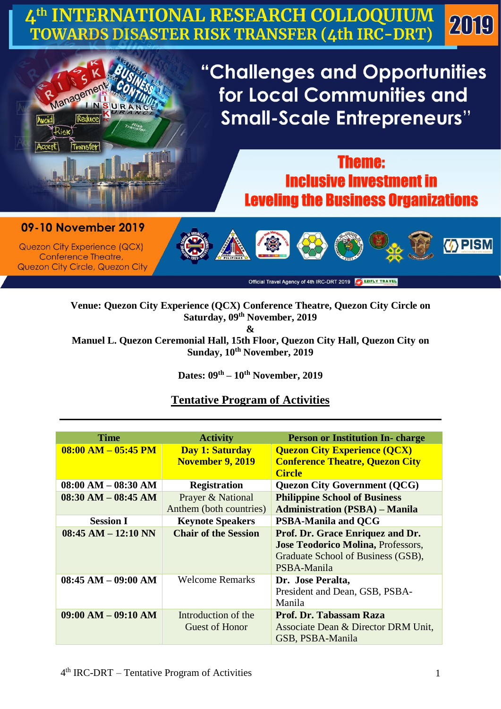## **ERNATIONAL RESEARCH COLLOQUIUM** 2019 TOWARDS DISASTER RISK TRANSFER (4th IRC-DRT)



## **Theme: Inclusive Investment in Leveling the Business Organizations**

09-10 November 2019

Transfe

Manager

RAN

Transk

**Quezon City Experience (QCX)** Conference Theatre, **Quezon City Circle, Quezon City** 



Official Travel Agency of 4th IRC-DRT 2019 2 EZIFLY TRAVEL

## **Venue: Quezon City Experience (QCX) Conference Theatre, Quezon City Circle on Saturday, 09th November, 2019 &**

**Manuel L. Quezon Ceremonial Hall, 15th Floor, Quezon City Hall, Quezon City on Sunday, 10th November, 2019**

**Dates: 09th – 10th November, 2019**

## **Tentative Program of Activities**

| Time                  | <b>Activity</b>             | <b>Person or Institution In-charge</b>    |
|-----------------------|-----------------------------|-------------------------------------------|
| $08:00 AM - 05:45 PM$ | Day 1: Saturday             | <b>Quezon City Experience (QCX)</b>       |
|                       | <b>November 9, 2019</b>     | <b>Conference Theatre, Quezon City</b>    |
|                       |                             | <b>Circle</b>                             |
| $08:00 AM - 08:30 AM$ | <b>Registration</b>         | <b>Quezon City Government (QCG)</b>       |
| $08:30 AM - 08:45 AM$ | Prayer & National           | <b>Philippine School of Business</b>      |
|                       | Anthem (both countries)     | <b>Administration (PSBA) – Manila</b>     |
| <b>Session I</b>      | <b>Keynote Speakers</b>     | <b>PSBA-Manila and QCG</b>                |
| $08:45 AM - 12:10 NN$ | <b>Chair of the Session</b> | Prof. Dr. Grace Enriquez and Dr.          |
|                       |                             | <b>Jose Teodorico Molina, Professors,</b> |
|                       |                             | Graduate School of Business (GSB),        |
|                       |                             | PSBA-Manila                               |
| $08:45 AM - 09:00 AM$ | <b>Welcome Remarks</b>      | Dr. Jose Peralta,                         |
|                       |                             | President and Dean, GSB, PSBA-            |
|                       |                             |                                           |
|                       |                             | Manila                                    |
| $09:00 AM - 09:10 AM$ | Introduction of the         | <b>Prof. Dr. Tabassam Raza</b>            |
|                       | Guest of Honor              | Associate Dean & Director DRM Unit,       |
|                       |                             | GSB, PSBA-Manila                          |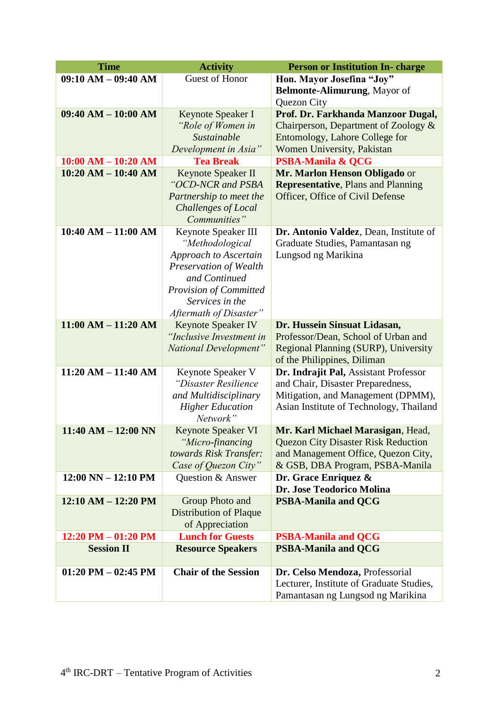| <b>Time</b>                           | <b>Activity</b>                         | <b>Person or Institution In-charge</b>     |
|---------------------------------------|-----------------------------------------|--------------------------------------------|
| $09:10 AM - 09:40 AM$                 | Guest of Honor                          | Hon. Mayor Josefina "Joy"                  |
|                                       |                                         | Belmonte-Alimurung, Mayor of               |
|                                       |                                         | Quezon City                                |
| $09:40 AM - 10:00 AM$                 | Keynote Speaker I                       | Prof. Dr. Farkhanda Manzoor Dugal,         |
|                                       | "Role of Women in                       | Chairperson, Department of Zoology &       |
|                                       | Sustainable                             | Entomology, Lahore College for             |
|                                       | Development in Asia"                    | Women University, Pakistan                 |
| $10:00$ AM $- 10:20$ AM               | <b>Tea Break</b>                        | <b>PSBA-Manila &amp; QCG</b>               |
| $10:20$ AM $- 10:40$ AM               | Keynote Speaker II                      | Mr. Marlon Henson Obligado or              |
|                                       | "OCD-NCR and PSBA                       | <b>Representative, Plans and Planning</b>  |
|                                       | Partnership to meet the                 | Officer, Office of Civil Defense           |
|                                       | Challenges of Local                     |                                            |
|                                       | Communities"                            |                                            |
| $10:40 AM - 11:00 AM$                 | Keynote Speaker III                     | Dr. Antonio Valdez, Dean, Institute of     |
|                                       | "Methodological                         | Graduate Studies, Pamantasan ng            |
|                                       | Approach to Ascertain                   | Lungsod ng Marikina                        |
|                                       | Preservation of Wealth<br>and Continued |                                            |
|                                       | <b>Provision of Committed</b>           |                                            |
|                                       | Services in the                         |                                            |
|                                       | Aftermath of Disaster"                  |                                            |
| $11:00 AM - 11:20 AM$                 | <b>Keynote Speaker IV</b>               | Dr. Hussein Sinsuat Lidasan,               |
|                                       | "Inclusive Investment in                | Professor/Dean, School of Urban and        |
|                                       | National Development"                   | Regional Planning (SURP), University       |
|                                       |                                         | of the Philippines, Diliman                |
| $11:20 AM - 11:40 AM$                 | Keynote Speaker V                       | Dr. Indrajit Pal, Assistant Professor      |
|                                       | "Disaster Resilience                    | and Chair, Disaster Preparedness,          |
|                                       | and Multidisciplinary                   | Mitigation, and Management (DPMM),         |
|                                       | <b>Higher Education</b>                 | Asian Institute of Technology, Thailand    |
|                                       | Network"                                |                                            |
| $11:40 AM - 12:00 NN$                 | Keynote Speaker VI                      | Mr. Karl Michael Marasigan, Head,          |
|                                       | "Micro-financing                        | <b>Quezon City Disaster Risk Reduction</b> |
|                                       | towards Risk Transfer:                  | and Management Office, Quezon City,        |
|                                       | Case of Quezon City"                    | & GSB, DBA Program, PSBA-Manila            |
| $12:00 \text{ NN} - 12:10 \text{ PM}$ | Question & Answer                       | Dr. Grace Enriquez &                       |
|                                       |                                         | Dr. Jose Teodorico Molina                  |
| $12:10 AM - 12:20 PM$                 | Group Photo and                         | <b>PSBA-Manila and QCG</b>                 |
|                                       | <b>Distribution of Plaque</b>           |                                            |
|                                       | of Appreciation                         |                                            |
| $12:20$ PM $-01:20$ PM                | <b>Lunch for Guests</b>                 | <b>PSBA-Manila and QCG</b>                 |
| <b>Session II</b>                     | <b>Resource Speakers</b>                | <b>PSBA-Manila and QCG</b>                 |
| $01:20$ PM $-02:45$ PM                | <b>Chair of the Session</b>             | Dr. Celso Mendoza, Professorial            |
|                                       |                                         | Lecturer, Institute of Graduate Studies,   |
|                                       |                                         | Pamantasan ng Lungsod ng Marikina          |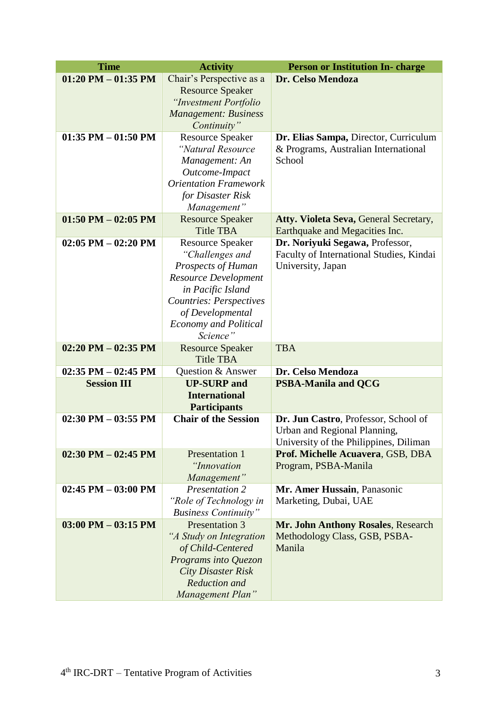| <b>Time</b>            | <b>Activity</b>                                     | <b>Person or Institution In- charge</b>                                       |
|------------------------|-----------------------------------------------------|-------------------------------------------------------------------------------|
| $01:20$ PM $-01:35$ PM | Chair's Perspective as a                            | Dr. Celso Mendoza                                                             |
|                        | <b>Resource Speaker</b>                             |                                                                               |
|                        | "Investment Portfolio                               |                                                                               |
|                        | <b>Management: Business</b>                         |                                                                               |
|                        | Continuity"                                         |                                                                               |
| $01:35$ PM $-01:50$ PM | <b>Resource Speaker</b><br>"Natural Resource        | Dr. Elias Sampa, Director, Curriculum<br>& Programs, Australian International |
|                        | Management: An                                      | School                                                                        |
|                        | Outcome-Impact                                      |                                                                               |
|                        | <b>Orientation Framework</b>                        |                                                                               |
|                        | for Disaster Risk                                   |                                                                               |
|                        | Management"                                         |                                                                               |
| $01:50$ PM $-02:05$ PM | <b>Resource Speaker</b>                             | Atty. Violeta Seva, General Secretary,                                        |
|                        | <b>Title TBA</b>                                    | Earthquake and Megacities Inc.                                                |
| $02:05$ PM $-02:20$ PM | <b>Resource Speaker</b>                             | Dr. Noriyuki Segawa, Professor,                                               |
|                        | "Challenges and                                     | Faculty of International Studies, Kindai                                      |
|                        | Prospects of Human                                  | University, Japan                                                             |
|                        | <b>Resource Development</b>                         |                                                                               |
|                        | in Pacific Island<br><b>Countries: Perspectives</b> |                                                                               |
|                        | of Developmental                                    |                                                                               |
|                        | <b>Economy and Political</b>                        |                                                                               |
|                        | Science"                                            |                                                                               |
| $02:20$ PM $-02:35$ PM | <b>Resource Speaker</b>                             | <b>TBA</b>                                                                    |
|                        | <b>Title TBA</b>                                    |                                                                               |
| $02:35$ PM $-02:45$ PM | Question & Answer                                   | Dr. Celso Mendoza                                                             |
| <b>Session III</b>     | <b>UP-SURP</b> and                                  | <b>PSBA-Manila and QCG</b>                                                    |
|                        | <b>International</b>                                |                                                                               |
|                        | <b>Participants</b>                                 |                                                                               |
| $02:30$ PM $-03:55$ PM | <b>Chair of the Session</b>                         | Dr. Jun Castro, Professor, School of                                          |
|                        |                                                     | Urban and Regional Planning,<br>University of the Philippines, Diliman        |
| $02:30$ PM $-02:45$ PM | Presentation 1                                      | Prof. Michelle Acuavera, GSB, DBA                                             |
|                        | "Innovation                                         | Program, PSBA-Manila                                                          |
|                        | Management"                                         |                                                                               |
| $02:45$ PM $-03:00$ PM | Presentation 2                                      | Mr. Amer Hussain, Panasonic                                                   |
|                        | "Role of Technology in                              | Marketing, Dubai, UAE                                                         |
|                        | <b>Business Continuity"</b>                         |                                                                               |
| $03:00$ PM $-03:15$ PM | Presentation 3                                      | Mr. John Anthony Rosales, Research                                            |
|                        | "A Study on Integration                             | Methodology Class, GSB, PSBA-                                                 |
|                        | of Child-Centered                                   | Manila                                                                        |
|                        | Programs into Quezon                                |                                                                               |
|                        | <b>City Disaster Risk</b><br>Reduction and          |                                                                               |
|                        | Management Plan"                                    |                                                                               |
|                        |                                                     |                                                                               |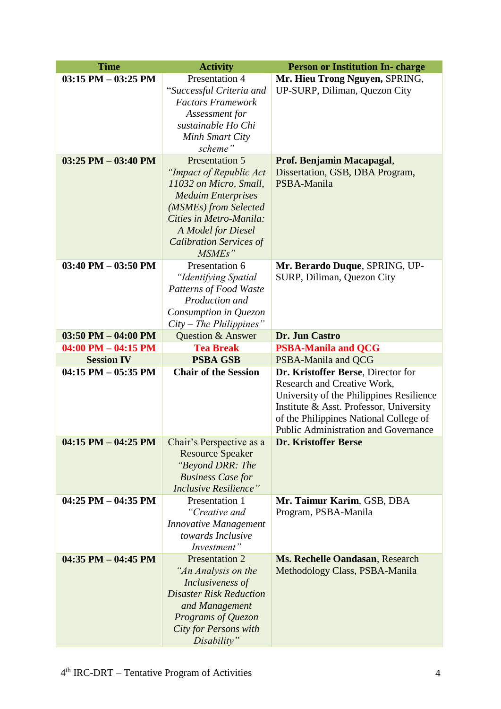| <b>Time</b>             | <b>Activity</b>                                | <b>Person or Institution In- charge</b>                      |
|-------------------------|------------------------------------------------|--------------------------------------------------------------|
| $03:15$ PM $-03:25$ PM  | Presentation 4                                 | Mr. Hieu Trong Nguyen, SPRING,                               |
|                         | "Successful Criteria and                       | UP-SURP, Diliman, Quezon City                                |
|                         | <b>Factors Framework</b>                       |                                                              |
|                         | Assessment for                                 |                                                              |
|                         | sustainable Ho Chi                             |                                                              |
|                         | Minh Smart City                                |                                                              |
|                         | scheme"                                        |                                                              |
| $03:25$ PM $-03:40$ PM  | Presentation 5                                 | Prof. Benjamin Macapagal,                                    |
|                         | "Impact of Republic Act                        | Dissertation, GSB, DBA Program,                              |
|                         | 11032 on Micro, Small,                         | PSBA-Manila                                                  |
|                         | <b>Meduim Enterprises</b>                      |                                                              |
|                         | (MSMEs) from Selected                          |                                                              |
|                         | Cities in Metro-Manila:                        |                                                              |
|                         | A Model for Diesel                             |                                                              |
|                         | <b>Calibration Services of</b>                 |                                                              |
| $03:40$ PM $-03:50$ PM  | MSME <sub>s</sub> "<br>Presentation 6          |                                                              |
|                         |                                                | Mr. Berardo Duque, SPRING, UP-<br>SURP, Diliman, Quezon City |
|                         | "Identifying Spatial<br>Patterns of Food Waste |                                                              |
|                         | Production and                                 |                                                              |
|                         | Consumption in Quezon                          |                                                              |
|                         | $City$ – The Philippines"                      |                                                              |
| $03:50$ PM $- 04:00$ PM | <b>Question &amp; Answer</b>                   | Dr. Jun Castro                                               |
| $04:00$ PM $- 04:15$ PM | <b>Tea Break</b>                               | <b>PSBA-Manila and QCG</b>                                   |
| <b>Session IV</b>       | <b>PSBA GSB</b>                                | PSBA-Manila and QCG                                          |
| $04:15$ PM $-05:35$ PM  | <b>Chair of the Session</b>                    | Dr. Kristoffer Berse, Director for                           |
|                         |                                                | Research and Creative Work,                                  |
|                         |                                                | University of the Philippines Resilience                     |
|                         |                                                | Institute & Asst. Professor, University                      |
|                         |                                                | of the Philippines National College of                       |
|                         |                                                | <b>Public Administration and Governance</b>                  |
| 04:15 PM $-$ 04:25 PM   | Chair's Perspective as a                       | <b>Dr. Kristoffer Berse</b>                                  |
|                         | <b>Resource Speaker</b>                        |                                                              |
|                         | "Beyond DRR: The                               |                                                              |
|                         | <b>Business Case for</b>                       |                                                              |
|                         | <b>Inclusive Resilience"</b>                   |                                                              |
| $04:25$ PM $-04:35$ PM  | Presentation 1                                 | Mr. Taimur Karim, GSB, DBA                                   |
|                         | "Creative and                                  | Program, PSBA-Manila                                         |
|                         | <b>Innovative Management</b>                   |                                                              |
|                         | towards Inclusive                              |                                                              |
|                         | Investment"                                    |                                                              |
| $04:35$ PM $-04:45$ PM  | Presentation 2                                 | Ms. Rechelle Oandasan, Research                              |
|                         | "An Analysis on the<br>Inclusiveness of        | Methodology Class, PSBA-Manila                               |
|                         | <b>Disaster Risk Reduction</b>                 |                                                              |
|                         | and Management                                 |                                                              |
|                         | Programs of Quezon                             |                                                              |
|                         | <b>City for Persons with</b>                   |                                                              |
|                         | Disability"                                    |                                                              |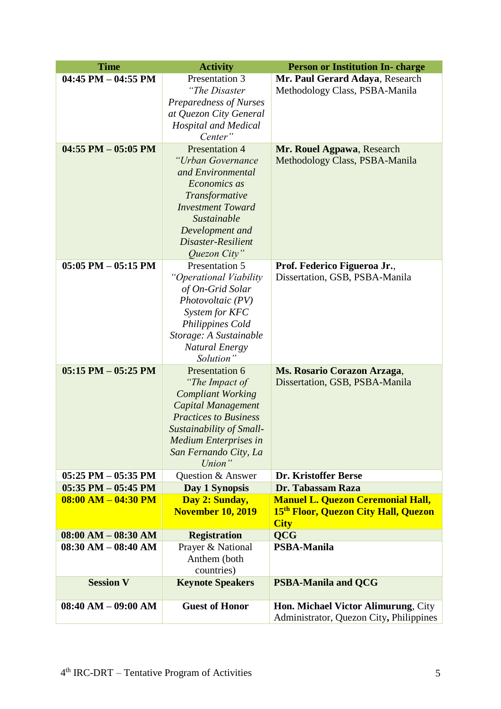| <b>Time</b>             | <b>Activity</b>              | <b>Person or Institution In- charge</b>          |
|-------------------------|------------------------------|--------------------------------------------------|
| $04:45$ PM $- 04:55$ PM | Presentation 3               | Mr. Paul Gerard Adaya, Research                  |
|                         | "The Disaster                | Methodology Class, PSBA-Manila                   |
|                         | Preparedness of Nurses       |                                                  |
|                         | at Quezon City General       |                                                  |
|                         | <b>Hospital and Medical</b>  |                                                  |
|                         | Center"                      |                                                  |
| $04:55$ PM $-05:05$ PM  | Presentation 4               | Mr. Rouel Agpawa, Research                       |
|                         | "Urban Governance            | Methodology Class, PSBA-Manila                   |
|                         | and Environmental            |                                                  |
|                         | Economics as                 |                                                  |
|                         | Transformative               |                                                  |
|                         | <b>Investment Toward</b>     |                                                  |
|                         | Sustainable                  |                                                  |
|                         | Development and              |                                                  |
|                         | Disaster-Resilient           |                                                  |
|                         | Quezon City"                 |                                                  |
| $05:05$ PM $-05:15$ PM  | Presentation 5               | Prof. Federico Figueroa Jr.,                     |
|                         | "Operational Viability       | Dissertation, GSB, PSBA-Manila                   |
|                         | of On-Grid Solar             |                                                  |
|                         | Photovoltaic (PV)            |                                                  |
|                         | System for KFC               |                                                  |
|                         | Philippines Cold             |                                                  |
|                         | Storage: A Sustainable       |                                                  |
|                         | <b>Natural Energy</b>        |                                                  |
|                         | Solution"                    |                                                  |
| $05:15$ PM $- 05:25$ PM | Presentation 6               | Ms. Rosario Corazon Arzaga,                      |
|                         | "The Impact of               | Dissertation, GSB, PSBA-Manila                   |
|                         | <b>Compliant Working</b>     |                                                  |
|                         | <b>Capital Management</b>    |                                                  |
|                         | <b>Practices to Business</b> |                                                  |
|                         | Sustainability of Small-     |                                                  |
|                         | <b>Medium Enterprises in</b> |                                                  |
|                         | San Fernando City, La        |                                                  |
|                         | Union"                       |                                                  |
| $05:25$ PM $-05:35$ PM  | Question & Answer            | Dr. Kristoffer Berse                             |
| $05:35$ PM $-05:45$ PM  | Day 1 Synopsis               | Dr. Tabassam Raza                                |
| $08:00 AM - 04:30 PM$   | Day 2: Sunday,               | <b>Manuel L. Quezon Ceremonial Hall,</b>         |
|                         | <b>November 10, 2019</b>     | 15 <sup>th</sup> Floor, Quezon City Hall, Quezon |
|                         |                              | <b>City</b>                                      |
| $08:00 AM - 08:30 AM$   | <b>Registration</b>          | <b>QCG</b>                                       |
| $08:30 AM - 08:40 AM$   | Prayer & National            | <b>PSBA-Manila</b>                               |
|                         | Anthem (both                 |                                                  |
|                         | countries)                   |                                                  |
| <b>Session V</b>        | <b>Keynote Speakers</b>      | <b>PSBA-Manila and QCG</b>                       |
|                         |                              |                                                  |
| $08:40 AM - 09:00 AM$   | <b>Guest of Honor</b>        | Hon. Michael Victor Alimurung, City              |
|                         |                              | Administrator, Quezon City, Philippines          |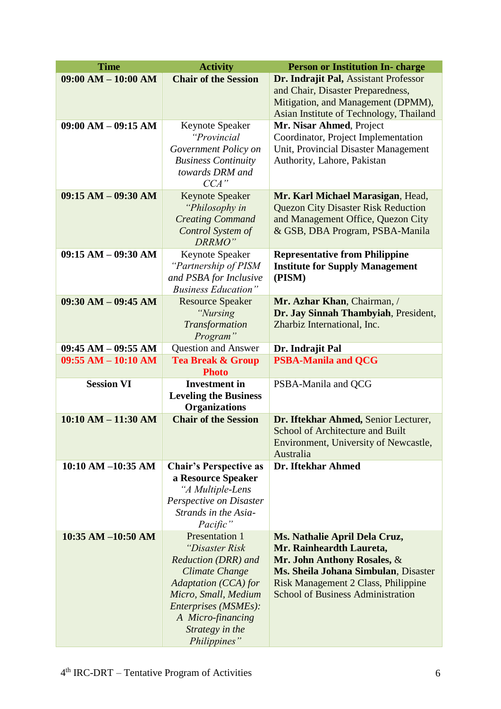| <b>Time</b>           | <b>Activity</b>                                    | <b>Person or Institution In- charge</b>                                     |
|-----------------------|----------------------------------------------------|-----------------------------------------------------------------------------|
| $09:00 AM - 10:00 AM$ | <b>Chair of the Session</b>                        | Dr. Indrajit Pal, Assistant Professor<br>and Chair, Disaster Preparedness,  |
|                       |                                                    | Mitigation, and Management (DPMM),                                          |
|                       |                                                    | Asian Institute of Technology, Thailand                                     |
| $09:00 AM - 09:15 AM$ | Keynote Speaker                                    | Mr. Nisar Ahmed, Project                                                    |
|                       | "Provincial                                        | Coordinator, Project Implementation                                         |
|                       | Government Policy on<br><b>Business Continuity</b> | Unit, Provincial Disaster Management<br>Authority, Lahore, Pakistan         |
|                       | towards DRM and                                    |                                                                             |
|                       | CCA''                                              |                                                                             |
| $09:15 AM - 09:30 AM$ | <b>Keynote Speaker</b>                             | Mr. Karl Michael Marasigan, Head,                                           |
|                       | "Philosophy in                                     | <b>Quezon City Disaster Risk Reduction</b>                                  |
|                       | <b>Creating Command</b>                            | and Management Office, Quezon City                                          |
|                       | Control System of                                  | & GSB, DBA Program, PSBA-Manila                                             |
| $09:15 AM - 09:30 AM$ | DRRMO"<br>Keynote Speaker                          | <b>Representative from Philippine</b>                                       |
|                       | "Partnership of PISM                               | <b>Institute for Supply Management</b>                                      |
|                       | and PSBA for Inclusive                             | (PISM)                                                                      |
|                       | <b>Business Education"</b>                         |                                                                             |
| $09:30 AM - 09:45 AM$ | <b>Resource Speaker</b>                            | Mr. Azhar Khan, Chairman, /                                                 |
|                       | "Nursing                                           | Dr. Jay Sinnah Thambyiah, President,                                        |
|                       | Transformation                                     | Zharbiz International, Inc.                                                 |
|                       | Program"                                           |                                                                             |
| $09:45 AM - 09:55 AM$ | <b>Question and Answer</b>                         | Dr. Indrajit Pal                                                            |
| $09:55 AM - 10:10 AM$ | <b>Tea Break &amp; Group</b><br><b>Photo</b>       | <b>PSBA-Manila and QCG</b>                                                  |
| <b>Session VI</b>     | <b>Investment</b> in                               | PSBA-Manila and QCG                                                         |
|                       | <b>Leveling the Business</b>                       |                                                                             |
|                       | <b>Organizations</b>                               |                                                                             |
| $10:10 AM - 11:30 AM$ | <b>Chair of the Session</b>                        | Dr. Iftekhar Ahmed, Senior Lecturer,                                        |
|                       |                                                    | School of Architecture and Built<br>Environment, University of Newcastle,   |
|                       |                                                    | Australia                                                                   |
| 10:10 AM -10:35 AM    | <b>Chair's Perspective as</b>                      | Dr. Iftekhar Ahmed                                                          |
|                       | a Resource Speaker<br>"A Multiple-Lens             |                                                                             |
|                       | Perspective on Disaster                            |                                                                             |
|                       | Strands in the Asia-                               |                                                                             |
|                       | Pacific"                                           |                                                                             |
| 10:35 AM -10:50 AM    | <b>Presentation 1</b>                              | Ms. Nathalie April Dela Cruz,                                               |
|                       | "Disaster Risk                                     | Mr. Rainheardth Laureta,                                                    |
|                       | Reduction (DRR) and                                | Mr. John Anthony Rosales, &                                                 |
|                       | Climate Change<br>Adaptation (CCA) for             | Ms. Sheila Johana Simbulan, Disaster<br>Risk Management 2 Class, Philippine |
|                       | Micro, Small, Medium                               | <b>School of Business Administration</b>                                    |
|                       | Enterprises (MSMEs):                               |                                                                             |
|                       | A Micro-financing                                  |                                                                             |
|                       | Strategy in the                                    |                                                                             |
|                       | Philippines"                                       |                                                                             |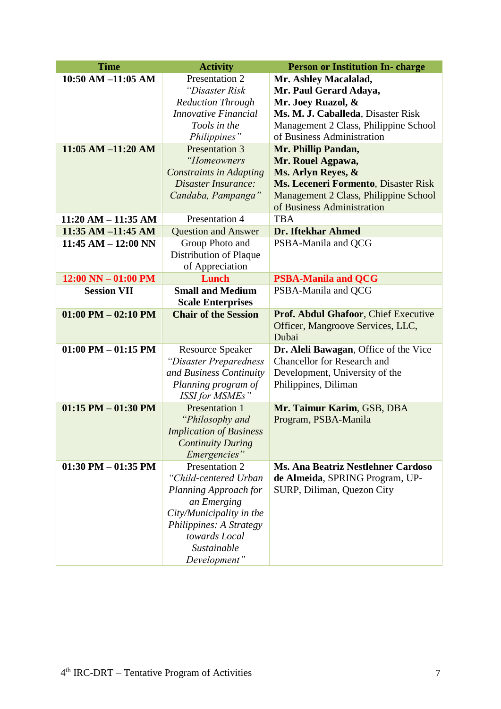| <b>Time</b>                           | <b>Activity</b>                                   | <b>Person or Institution In- charge</b>    |
|---------------------------------------|---------------------------------------------------|--------------------------------------------|
| $10:50$ AM $-11:05$ AM                | Presentation 2                                    | Mr. Ashley Macalalad,                      |
|                                       | "Disaster Risk                                    | Mr. Paul Gerard Adaya,                     |
|                                       | <b>Reduction Through</b>                          | Mr. Joey Ruazol, &                         |
|                                       | <b>Innovative Financial</b>                       | Ms. M. J. Caballeda, Disaster Risk         |
|                                       | Tools in the                                      | Management 2 Class, Philippine School      |
|                                       | Philippines"                                      | of Business Administration                 |
| $11:05$ AM $-11:20$ AM                | Presentation 3                                    | Mr. Phillip Pandan,                        |
|                                       | "Homeowners                                       | Mr. Rouel Agpawa,                          |
|                                       | <b>Constraints in Adapting</b>                    | Ms. Arlyn Reyes, &                         |
|                                       | Disaster Insurance:                               | Ms. Leceneri Formento, Disaster Risk       |
|                                       | Candaba, Pampanga"                                | Management 2 Class, Philippine School      |
|                                       |                                                   | of Business Administration                 |
| $11:20 AM - 11:35 AM$                 | Presentation 4                                    | <b>TBA</b>                                 |
| $11:35$ AM $-11:45$ AM                | <b>Question and Answer</b>                        | <b>Dr. Iftekhar Ahmed</b>                  |
| $11:45 AM - 12:00 NN$                 | Group Photo and                                   | PSBA-Manila and QCG                        |
|                                       | Distribution of Plaque                            |                                            |
|                                       | of Appreciation                                   |                                            |
| $12:00 \text{ NN} - 01:00 \text{ PM}$ | Lunch                                             | <b>PSBA-Manila and QCG</b>                 |
| <b>Session VII</b>                    | <b>Small and Medium</b>                           | PSBA-Manila and QCG                        |
|                                       | <b>Scale Enterprises</b>                          |                                            |
| $01:00$ PM $-02:10$ PM                | <b>Chair of the Session</b>                       | Prof. Abdul Ghafoor, Chief Executive       |
|                                       |                                                   | Officer, Mangroove Services, LLC,<br>Dubai |
| 01:00 PM $-$ 01:15 PM                 |                                                   | Dr. Aleli Bawagan, Office of the Vice      |
|                                       | <b>Resource Speaker</b><br>"Disaster Preparedness | <b>Chancellor</b> for Research and         |
|                                       | and Business Continuity                           | Development, University of the             |
|                                       | Planning program of                               | Philippines, Diliman                       |
|                                       | <b>ISSI for MSMEs</b> "                           |                                            |
| $01:15$ PM $-01:30$ PM                | <b>Presentation 1</b>                             | Mr. Taimur Karim, GSB, DBA                 |
|                                       | "Philosophy and                                   | Program, PSBA-Manila                       |
|                                       | <b>Implication of Business</b>                    |                                            |
|                                       | <b>Continuity During</b>                          |                                            |
|                                       | Emergencies"                                      |                                            |
| $01:30$ PM $-01:35$ PM                | Presentation 2                                    | <b>Ms. Ana Beatriz Nestlehner Cardoso</b>  |
|                                       | "Child-centered Urban                             | de Almeida, SPRING Program, UP-            |
|                                       | Planning Approach for                             | SURP, Diliman, Quezon City                 |
|                                       | an Emerging                                       |                                            |
|                                       | City/Municipality in the                          |                                            |
|                                       | Philippines: A Strategy                           |                                            |
|                                       | towards Local                                     |                                            |
|                                       | Sustainable                                       |                                            |
|                                       | Development"                                      |                                            |